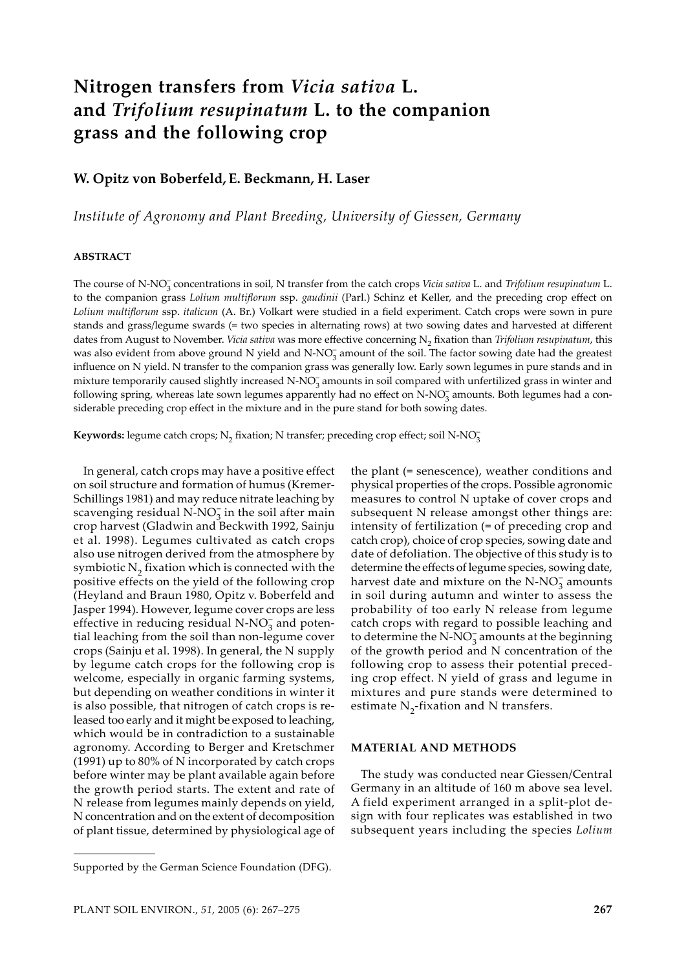# **Nitrogen transfers from** *Vicia sativa* **L. and** *Trifolium resupinatum* **L. to the companion grass and the following crop**

# **W. Opitz von Boberfeld, E. Beckmann, H. Laser**

*Institute of Agronomy and Plant Breeding, University of Giessen, Germany*

## **ABSTRACT**

The course of N-NO<sub>3</sub> concentrations in soil, N transfer from the catch crops *Vicia sativa* L. and *Trifolium resupinatum* L. to the companion grass *Lolium multiflorum* ssp. *gaudinii* (Parl.) Schinz et Keller, and the preceding crop effect on *Lolium multiflorum* ssp. *italicum* (A. Br.) Volkart were studied in a field experiment. Catch crops were sown in pure stands and grass/legume swards (= two species in alternating rows) at two sowing dates and harvested at different dates from August to November. *Vicia sativa* was more effective concerning N<sub>2</sub> fixation than *Trifolium resupinatum*, this was also evident from above ground N yield and N-NO<sub>3</sub> amount of the soil. The factor sowing date had the greatest influence on N yield. N transfer to the companion grass was generally low. Early sown legumes in pure stands and in mixture temporarily caused slightly increased N-NO<sub>3</sub> amounts in soil compared with unfertilized grass in winter and following spring, whereas late sown legumes apparently had no effect on N-NO<sub>3</sub> amounts. Both legumes had a considerable preceding crop effect in the mixture and in the pure stand for both sowing dates.

Keywords: legume catch crops; N<sub>2</sub> fixation; N transfer; preceding crop effect; soil N-NO<sub>3</sub>

In general, catch crops may have a positive effect on soil structure and formation of humus (Kremer-Schillings 1981) and may reduce nitrate leaching by scavenging residual N-NO<sub>3</sub> in the soil after main crop harvest (Gladwin and Beckwith 1992, Sainju et al. 1998). Legumes cultivated as catch crops also use nitrogen derived from the atmosphere by symbiotic  $N<sub>2</sub>$  fixation which is connected with the positive effects on the yield of the following crop (Heyland and Braun 1980, Opitz v. Boberfeld and Jasper 1994). However, legume cover crops are less effective in reducing residual N-NO<sub>3</sub> and potential leaching from the soil than non-legume cover crops (Sainju et al. 1998). In general, the N supply by legume catch crops for the following crop is welcome, especially in organic farming systems, but depending on weather conditions in winter it is also possible, that nitrogen of catch crops is released too early and it might be exposed to leaching, which would be in contradiction to a sustainable agronomy. According to Berger and Kretschmer (1991) up to 80% of N incorporated by catch crops before winter may be plant available again before the growth period starts. The extent and rate of N release from legumes mainly depends on yield, N concentration and on the extent of decomposition of plant tissue, determined by physiological age of

the plant (= senescence), weather conditions and physical properties of the crops. Possible agronomic measures to control N uptake of cover crops and subsequent N release amongst other things are: intensity of fertilization (= of preceding crop and catch crop), choice of crop species, sowing date and date of defoliation. The objective of this study is to determine the effects of legume species, sowing date, harvest date and mixture on the  $N\text{-}NO_3^-$  amounts in soil during autumn and winter to assess the probability of too early N release from legume catch crops with regard to possible leaching and to determine the N- $NO_3^-$  amounts at the beginning of the growth period and N concentration of the following crop to assess their potential preceding crop effect. N yield of grass and legume in mixtures and pure stands were determined to estimate  $N_2$ -fixation and N transfers.

#### **MATERIAL AND METHODS**

The study was conducted near Giessen/Central Germany in an altitude of 160 m above sea level. A field experiment arranged in a split-plot design with four replicates was established in two subsequent years including the species *Lolium* 

Supported by the German Science Foundation (DFG).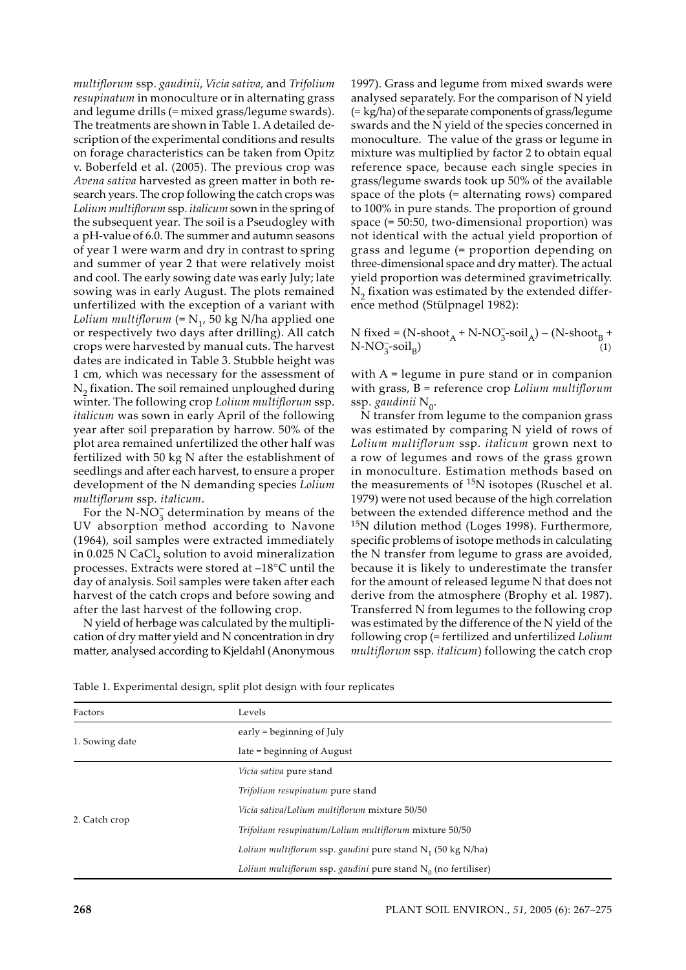*multiflorum* ssp. *gaudinii*, *Vicia sativa,* and *Trifolium resupinatum* in monoculture or in alternating grass and legume drills (= mixed grass/legume swards). The treatments are shown in Table 1. A detailed description of the experimental conditions and results on forage characteristics can be taken from Opitz v. Boberfeld et al. (2005). The previous crop was *Avena sativa* harvested as green matter in both research years. The crop following the catch crops was *Lolium multiflorum* ssp. *italicum* sown in the spring of the subsequent year*.* The soil is a Pseudogley with a pH-value of 6.0. The summer and autumn seasons of year 1 were warm and dry in contrast to spring and summer of year 2 that were relatively moist and cool. The early sowing date was early July; late sowing was in early August. The plots remained unfertilized with the exception of a variant with *Lolium multiflorum* (=  $N_1$ , 50 kg N/ha applied one or respectively two days after drilling). All catch crops were harvested by manual cuts. The harvest dates are indicated in Table 3. Stubble height was 1 cm, which was necessary for the assessment of  $N<sub>2</sub>$  fixation. The soil remained unploughed during winter. The following crop *Lolium multiflorum* ssp. *italicum* was sown in early April of the following year after soil preparation by harrow. 50% of the plot area remained unfertilized the other half was fertilized with 50 kg N after the establishment of seedlings and after each harvest, to ensure a proper development of the N demanding species *Lolium multiflorum* ssp. *italicum*.

For the N-NO<sub>3</sub> determination by means of the UV absorption method according to Navone (1964), soil samples were extracted immediately in 0.025 N CaCl<sub>2</sub> solution to avoid mineralization processes. Extracts were stored at –18°C until the day of analysis. Soil samples were taken after each harvest of the catch crops and before sowing and after the last harvest of the following crop.

N yield of herbage was calculated by the multiplication of dry matter yield and N concentration in dry matter, analysed according to Kjeldahl (Anonymous

1997). Grass and legume from mixed swards were analysed separately. For the comparison of N yield (= kg/ha) of the separate components of grass/legume swards and the N yield of the species concerned in monoculture. The value of the grass or legume in mixture was multiplied by factor 2 to obtain equal reference space, because each single species in grass/legume swards took up 50% of the available space of the plots (= alternating rows) compared to 100% in pure stands. The proportion of ground space (= 50:50, two-dimensional proportion) was not identical with the actual yield proportion of grass and legume (= proportion depending on three-dimensional space and dry matter). The actual yield proportion was determined gravimetrically.  $N_2$  fixation was estimated by the extended difference method (Stülpnagel 1982):

N fixed = (N-shoot<sub>A</sub> + N-NO<sub>3</sub>-soil<sub>A</sub>) – (N-shoot<sub>B</sub> +  $N-NO_3^--\text{soil}_B$  (1)

with A = legume in pure stand or in companion with grass, B = reference crop *Lolium multiflorum*  ssp. gaudinii N<sub>0</sub>.

N transfer from legume to the companion grass was estimated by comparing N yield of rows of *Lolium multiflorum* ssp. *italicum* grown next to a row of legumes and rows of the grass grown in monoculture. Estimation methods based on the measurements of  $15N$  isotopes (Ruschel et al. 1979) were not used because of the high correlation between the extended difference method and the <sup>15</sup>N dilution method (Loges 1998). Furthermore, specific problems of isotope methods in calculating the N transfer from legume to grass are avoided, because it is likely to underestimate the transfer for the amount of released legume N that does not derive from the atmosphere (Brophy et al. 1987). Transferred N from legumes to the following crop was estimated by the difference of the N yield of the following crop (= fertilized and unfertilized *Lolium multiflorum* ssp. *italicum*) following the catch crop

| Factors        | Levels                                                           |
|----------------|------------------------------------------------------------------|
|                | early $=$ beginning of July                                      |
| 1. Sowing date | late = beginning of August                                       |
|                | Vicia sativa pure stand                                          |
|                | Trifolium resupinatum pure stand                                 |
|                | Vicia sativa/Lolium multiflorum mixture 50/50                    |
| 2. Catch crop  | Trifolium resupinatum/Lolium multiflorum mixture 50/50           |
|                | Lolium multiflorum ssp. gaudini pure stand $N1$ (50 kg N/ha)     |
|                | Lolium multiflorum ssp. gaudini pure stand $N_0$ (no fertiliser) |

| Table 1. Experimental design, split plot design with four replicates |  |  |  |  |
|----------------------------------------------------------------------|--|--|--|--|
|----------------------------------------------------------------------|--|--|--|--|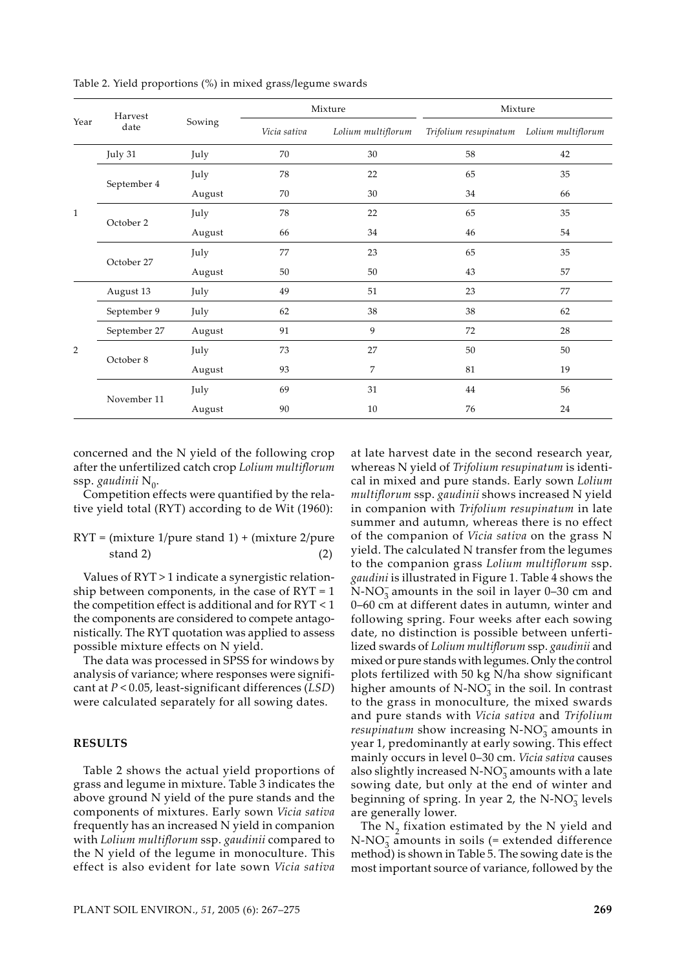|              | Harvest      |        |              | Mixture            | Mixture                                  |    |  |  |
|--------------|--------------|--------|--------------|--------------------|------------------------------------------|----|--|--|
| Year         | date         | Sowing | Vicia sativa | Lolium multiflorum | Trifolium resupinatum Lolium multiflorum |    |  |  |
|              | July 31      | July   | 70           | 30                 | 58                                       | 42 |  |  |
|              |              | July   | 78           | 22                 | 65                                       | 35 |  |  |
|              | September 4  | August | 70           | 30                 | 34                                       | 66 |  |  |
| $\mathbf{1}$ |              | July   | 78           | 22                 |                                          | 35 |  |  |
|              | October 2    | August | 34<br>66     |                    | 46                                       | 54 |  |  |
|              | October 27   | July   | 77           | 23                 | 65                                       | 35 |  |  |
|              |              | August | 50           | 50                 | 43                                       | 57 |  |  |
|              | August 13    | July   | 49           | 51                 | 23                                       | 77 |  |  |
|              | September 9  | July   | 62           | 38                 | 38                                       | 62 |  |  |
|              | September 27 | August | 91           | 9                  | 72                                       | 28 |  |  |
| 2            | October 8    | July   | 73           | 27                 | 50                                       | 50 |  |  |
|              |              | August | 93           | $\overline{7}$     | 81                                       | 19 |  |  |
|              |              | July   | 69           | 31                 | 44                                       | 56 |  |  |
|              | November 11  | August | 90           | 10                 | 76                                       | 24 |  |  |

Table 2. Yield proportions (%) in mixed grass/legume swards

concerned and the N yield of the following crop after the unfertilized catch crop *Lolium multiflorum*  ssp. gaudinii N<sub>0</sub>.

Competition effects were quantified by the relative yield total (RYT) according to de Wit (1960):

# $RYT = (mixture 1/pure stand 1) + (mixture 2/pure 1)$  $stand 2)$  (2)

Values of RYT > 1 indicate a synergistic relationship between components, in the case of  $\text{RYT} = 1$ the competition effect is additional and for RYT < 1 the components are considered to compete antagonistically. The RYT quotation was applied to assess possible mixture effects on N yield.

The data was processed in SPSS for windows by analysis of variance; where responses were significant at *P* < 0.05, least-significant differences (*LSD*) were calculated separately for all sowing dates.

#### **RESULTS**

Table 2 shows the actual yield proportions of grass and legume in mixture. Table 3 indicates the above ground N yield of the pure stands and the components of mixtures. Early sown *Vicia sativa* frequently has an increased N yield in companion with *Lolium multiflorum* ssp. *gaudinii* compared to the N yield of the legume in monoculture. This effect is also evident for late sown *Vicia sativa* at late harvest date in the second research year, whereas N yield of *Trifolium resupinatum* is identical in mixed and pure stands. Early sown *Lolium multiflorum* ssp. *gaudinii* shows increased N yield in companion with *Trifolium resupinatum* in late summer and autumn, whereas there is no effect of the companion of *Vicia sativa* on the grass N yield. The calculated N transfer from the legumes to the companion grass *Lolium multiflorum* ssp. *gaudini* is illustrated in Figure 1. Table 4 shows the  $\text{N-NO}_3^-$  amounts in the soil in layer 0–30 cm and 0–60 cm at different dates in autumn, winter and following spring. Four weeks after each sowing date, no distinction is possible between unfertilized swards of *Lolium multiflorum* ssp. *gaudinii* and mixed or pure stands with legumes. Only the control plots fertilized with 50 kg N/ha show significant higher amounts of  $N-NO_3^-$  in the soil. In contrast to the grass in monoculture, the mixed swards and pure stands with *Vicia sativa* and *Trifolium resupinatum* show increasing  $N-NO_3^-$  amounts in year 1, predominantly at early sowing. This effect mainly occurs in level 0–30 cm. *Vicia sativa* causes also slightly increased N-NO<sub>3</sub> amounts with a late sowing date, but only at the end of winter and beginning of spring. In year 2, the  $N-NO<sub>3</sub><sup>-</sup>$  levels are generally lower.

The  $N<sub>2</sub>$  fixation estimated by the N yield and N-NO<sub>3</sub> amounts in soils (= extended difference method) is shown in Table 5. The sowing date is the most important source of variance, followed by the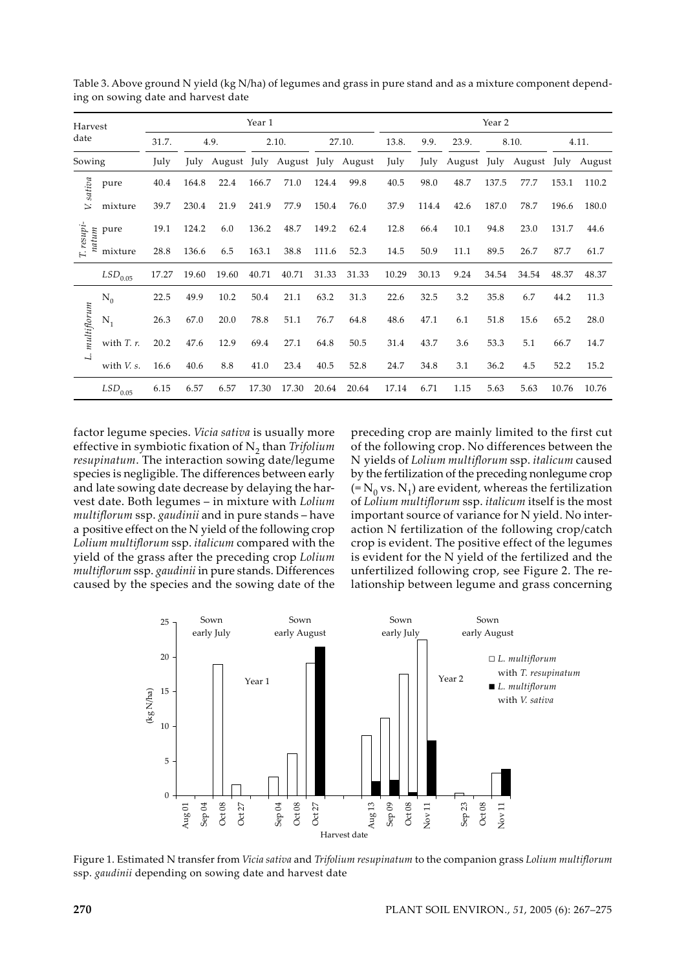| Harvest     |                  |       |       |       | Year 1 |                                |       | Year 2 |       |       |             |       |             |       |        |
|-------------|------------------|-------|-------|-------|--------|--------------------------------|-------|--------|-------|-------|-------------|-------|-------------|-------|--------|
| date        |                  | 31.7. |       | 4.9.  | 2.10.  |                                |       | 27.10. |       | 9.9.  | 23.9.       | 8.10. |             | 4.11. |        |
| Sowing      |                  | July  | July  |       |        | August July August July August |       |        | July  | July  | August July |       | August July |       | August |
| V. sativa   | pure             | 40.4  | 164.8 | 22.4  | 166.7  | 71.0                           | 124.4 | 99.8   | 40.5  | 98.0  | 48.7        | 137.5 | 77.7        | 153.1 | 110.2  |
|             | mixture          | 39.7  | 230.4 | 21.9  | 241.9  | 77.9                           | 150.4 | 76.0   | 37.9  | 114.4 | 42.6        | 187.0 | 78.7        | 196.6 | 180.0  |
| natum       | pure             | 19.1  | 124.2 | 6.0   | 136.2  | 48.7                           | 149.2 | 62.4   | 12.8  | 66.4  | 10.1        | 94.8  | 23.0        | 131.7 | 44.6   |
| T. resupi   | mixture          | 28.8  | 136.6 | 6.5   | 163.1  | 38.8                           | 111.6 | 52.3   | 14.5  | 50.9  | 11.1        | 89.5  | 26.7        | 87.7  | 61.7   |
|             | $LSD_{0.05}$     | 17.27 | 19.60 | 19.60 | 40.71  | 40.71                          | 31.33 | 31.33  | 10.29 | 30.13 | 9.24        | 34.54 | 34.54       | 48.37 | 48.37  |
|             | $\rm N_0$        | 22.5  | 49.9  | 10.2  | 50.4   | 21.1                           | 63.2  | 31.3   | 22.6  | 32.5  | 3.2         | 35.8  | 6.7         | 44.2  | 11.3   |
| multiflorum | $N_1$            | 26.3  | 67.0  | 20.0  | 78.8   | 51.1                           | 76.7  | 64.8   | 48.6  | 47.1  | 6.1         | 51.8  | 15.6        | 65.2  | 28.0   |
|             | with $T$ . $r$ . | 20.2  | 47.6  | 12.9  | 69.4   | 27.1                           | 64.8  | 50.5   | 31.4  | 43.7  | 3.6         | 53.3  | 5.1         | 66.7  | 14.7   |
| L.          | with $V_s$ .     | 16.6  | 40.6  | 8.8   | 41.0   | 23.4                           | 40.5  | 52.8   | 24.7  | 34.8  | 3.1         | 36.2  | 4.5         | 52.2  | 15.2   |
|             | $LSD_{0.05}$     | 6.15  | 6.57  | 6.57  | 17.30  | 17.30                          | 20.64 | 20.64  | 17.14 | 6.71  | 1.15        | 5.63  | 5.63        | 10.76 | 10.76  |

Table 3. Above ground N yield (kg N/ha) of legumes and grass in pure stand and as a mixture component depending on sowing date and harvest date

factor legume species. *Vicia sativa* is usually more effective in symbiotic fixation of N2 than *Trifolium resupinatum*. The interaction sowing date/legume species is negligible. The differences between early and late sowing date decrease by delaying the harvest date. Both legumes – in mixture with *Lolium multiflorum* ssp. *gaudinii* and in pure stands – have a positive effect on the N yield of the following crop *Lolium multiflorum* ssp. *italicum* compared with the yield of the grass after the preceding crop *Lolium multiflorum* ssp. *gaudinii* in pure stands. Differences caused by the species and the sowing date of the

preceding crop are mainly limited to the first cut of the following crop. No differences between the N yields of *Lolium multiflorum* ssp. *italicum* caused by the fertilization of the preceding nonlegume crop  $(=N_0 \text{ vs. } N_1)$  are evident, whereas the fertilization of *Lolium multiflorum* ssp. *italicum* itself is the most important source of variance for N yield. No interaction N fertilization of the following crop/catch crop is evident. The positive effect of the legumes is evident for the N yield of the fertilized and the unfertilized following crop, see Figure 2. The relationship between legume and grass concerning



Figure 1. Estimated N transfer from *Vicia sativa* and *Trifolium resupinatum* to the companion grass *Lolium multiflorum*  ssp. *gaudinii* depending on sowing date and harvest date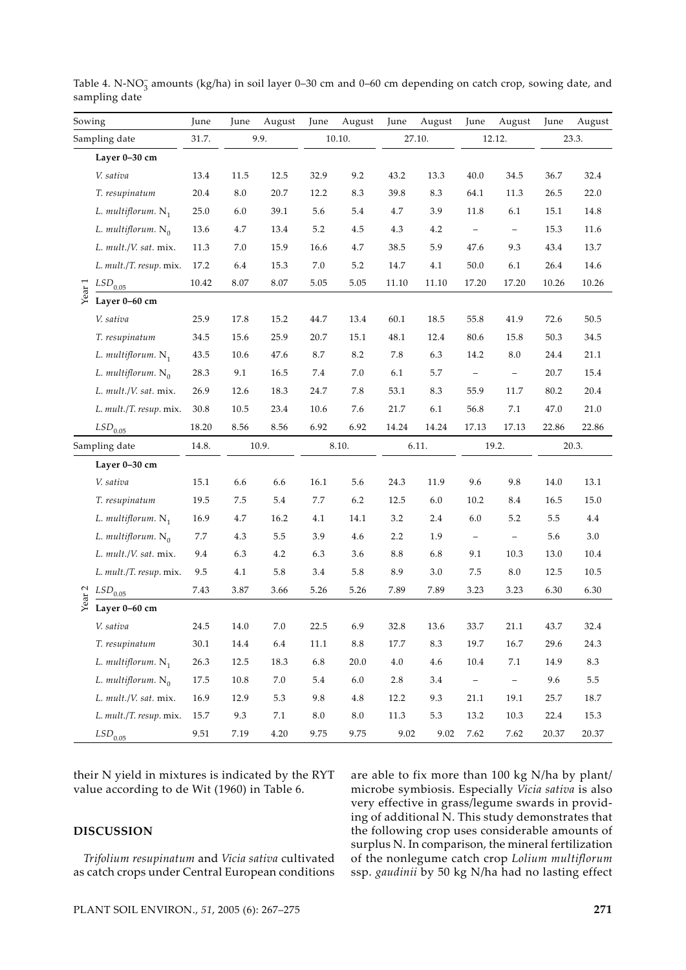| Sowing            |                         | June  | June     | August  | June    | August          | June            | August   | June                     | August                   | June  | August |  |
|-------------------|-------------------------|-------|----------|---------|---------|-----------------|-----------------|----------|--------------------------|--------------------------|-------|--------|--|
|                   | Sampling date           | 31.7. |          | 9.9.    |         | 10.10.          |                 | 27.10.   |                          | 12.12.                   |       | 23.3.  |  |
|                   | Layer 0-30 cm           |       |          |         |         |                 |                 |          |                          |                          |       |        |  |
|                   | V. sativa               | 13.4  | 11.5     | 12.5    | 32.9    | 9.2             | 43.2            | 13.3     | 40.0                     | 34.5                     | 36.7  | 32.4   |  |
|                   | T. resupinatum          | 20.4  | 8.0      | 20.7    | 12.2    | 8.3             | 39.8            | 8.3      | 64.1                     | 11.3                     | 26.5  | 22.0   |  |
|                   | L. multiflorum. $N_1$   | 25.0  | 6.0      | 39.1    | 5.6     | 5.4             | 4.7             | 3.9      | 11.8                     | 6.1                      | 15.1  | 14.8   |  |
|                   | L. multiflorum. $N_0$   | 13.6  | 4.7      | 13.4    | $5.2\,$ | 4.5             | 4.3             | 4.2      | $\overline{\phantom{a}}$ | $\overline{\phantom{a}}$ | 15.3  | 11.6   |  |
|                   | L. mult./V. sat. mix.   | 11.3  | 7.0      | 15.9    | 16.6    | 4.7             | 38.5            | 5.9      | 47.6                     | 9.3                      | 43.4  | 13.7   |  |
|                   | L. mult./T. resup. mix. | 17.2  | 6.4      | 15.3    | $7.0\,$ | 5.2             | 14.7            | 4.1      | 50.0                     | 6.1                      | 26.4  | 14.6   |  |
| Year 1            | $LSD_{0.05}$            | 10.42 | 8.07     | 8.07    | 5.05    | 5.05            | 11.10           | 11.10    | 17.20                    | 17.20                    | 10.26 | 10.26  |  |
|                   | Layer 0-60 cm           |       |          |         |         |                 |                 |          |                          |                          |       |        |  |
|                   | V. sativa               | 25.9  | 17.8     | 15.2    | 44.7    | 13.4            | 60.1            | $18.5\,$ | 55.8                     | 41.9                     | 72.6  | 50.5   |  |
|                   | T. resupinatum          | 34.5  | 15.6     | 25.9    | 20.7    | 15.1            | 48.1            | 12.4     | 80.6                     | 15.8                     | 50.3  | 34.5   |  |
|                   | L. multiflorum. $N_1$   | 43.5  | 10.6     | 47.6    | 8.7     | 8.2             | $7.8\,$         | 6.3      | 14.2                     | $\ \, 8.0$               | 24.4  | 21.1   |  |
|                   | L. multiflorum. $N_0$   | 28.3  | 9.1      | 16.5    | $7.4\,$ | 7.0             | 6.1             | 5.7      | $\qquad \qquad -$        | $\qquad \qquad -$        | 20.7  | 15.4   |  |
|                   | L. mult./V. sat. mix.   | 26.9  | 12.6     | 18.3    | 24.7    | 7.8             | 53.1            | 8.3      | 55.9                     | 11.7                     | 80.2  | 20.4   |  |
|                   | L. mult./T. resup. mix. | 30.8  | 10.5     | 23.4    | 10.6    | 7.6             | 21.7            | 6.1      | 56.8                     | 7.1                      | 47.0  | 21.0   |  |
|                   | $LSD_{0.05}$            | 18.20 | 8.56     | 8.56    | 6.92    | 6.92            | 14.24           | 14.24    | 17.13                    | 17.13                    | 22.86 | 22.86  |  |
|                   | Sampling date           | 14.8. |          | 10.9.   |         | 8.10.           |                 | 6.11.    |                          | 19.2.                    |       | 20.3.  |  |
|                   | Layer 0-30 cm           |       |          |         |         |                 |                 |          |                          |                          |       |        |  |
|                   | V. sativa               | 15.1  | 6.6      | 6.6     | 16.1    | 5.6             | 24.3            | 11.9     | 9.6                      | 9.8                      | 14.0  | 13.1   |  |
|                   | T. resupinatum          | 19.5  | 7.5      | 5.4     | 7.7     | 6.2             | 12.5            | $6.0\,$  | 10.2                     | 8.4                      | 16.5  | 15.0   |  |
|                   | L. multiflorum. $N_1$   | 16.9  | 4.7      | 16.2    | 4.1     | 14.1            | 3.2             | 2.4      | 6.0                      | 5.2                      | 5.5   | 4.4    |  |
|                   | L. multiflorum. $N_0$   | 7.7   | 4.3      | 5.5     | 3.9     | 4.6             | 2.2             | 1.9      | $\qquad \qquad -$        | $\overline{\phantom{a}}$ | 5.6   | 3.0    |  |
|                   | L. mult./V. sat. mix.   | 9.4   | 6.3      | 4.2     | 6.3     | 3.6             | $\!\!\!\!\!8.8$ | 6.8      | 9.1                      | 10.3                     | 13.0  | 10.4   |  |
|                   | L. mult./T. resup. mix. | 9.5   | 4.1      | 5.8     | 3.4     | 5.8             | 8.9             | 3.0      | 7.5                      | 8.0                      | 12.5  | 10.5   |  |
| Year <sub>2</sub> | $LSD_{0.05}$            | 7.43  | 3.87     | 3.66    | 5.26    | 5.26            | 7.89            | 7.89     | 3.23                     | 3.23                     | 6.30  | 6.30   |  |
|                   | Layer 0-60 cm           |       |          |         |         |                 |                 |          |                          |                          |       |        |  |
|                   | V. sativa               | 24.5  | 14.0     | 7.0     | 22.5    | 6.9             | 32.8            | 13.6     | 33.7                     | 21.1                     | 43.7  | 32.4   |  |
|                   | T. resupinatum          | 30.1  | $14.4\,$ | $6.4\,$ | 11.1    | $\!\!\!\!\!8.8$ | 17.7            | 8.3      | 19.7                     | 16.7                     | 29.6  | 24.3   |  |
|                   | L. multiflorum. $N_1$   | 26.3  | 12.5     | 18.3    | $6.8\,$ | 20.0            | 4.0             | $4.6\,$  | $10.4\,$                 | $7.1\,$                  | 14.9  | 8.3    |  |
|                   | L. multiflorum. $N_0$   | 17.5  | $10.8\,$ | $7.0\,$ | $5.4\,$ | $6.0\,$         | 2.8             | $3.4\,$  | $\overline{\phantom{0}}$ | $\overline{\phantom{0}}$ | 9.6   | 5.5    |  |
|                   | L. mult./V. sat. mix.   | 16.9  | 12.9     | 5.3     | 9.8     | $4.8\,$         | 12.2            | 9.3      | 21.1                     | 19.1                     | 25.7  | 18.7   |  |
|                   | L. mult./T. resup. mix. | 15.7  | 9.3      | 7.1     | $8.0\,$ | 8.0             | 11.3            | 5.3      | 13.2                     | 10.3                     | 22.4  | 15.3   |  |
|                   | $LSD_{0.05}$            | 9.51  | 7.19     | 4.20    | 9.75    | 9.75            | 9.02            | 9.02     | 7.62                     | 7.62                     | 20.37 | 20.37  |  |

Table 4. N-NO<sub>3</sub> amounts (kg/ha) in soil layer 0–30 cm and 0–60 cm depending on catch crop, sowing date, and sampling date

their N yield in mixtures is indicated by the RYT value according to de Wit (1960) in Table 6.

## **DISCUSSION**

*Trifolium resupinatum* and *Vicia sativa* cultivated as catch crops under Central European conditions

are able to fix more than 100 kg N/ha by plant/ microbe symbiosis. Especially *Vicia sativa* is also very effective in grass/legume swards in providing of additional N. This study demonstrates that the following crop uses considerable amounts of surplus N. In comparison, the mineral fertilization of the nonlegume catch crop *Lolium multiflorum*  ssp. *gaudinii* by 50 kg N/ha had no lasting effect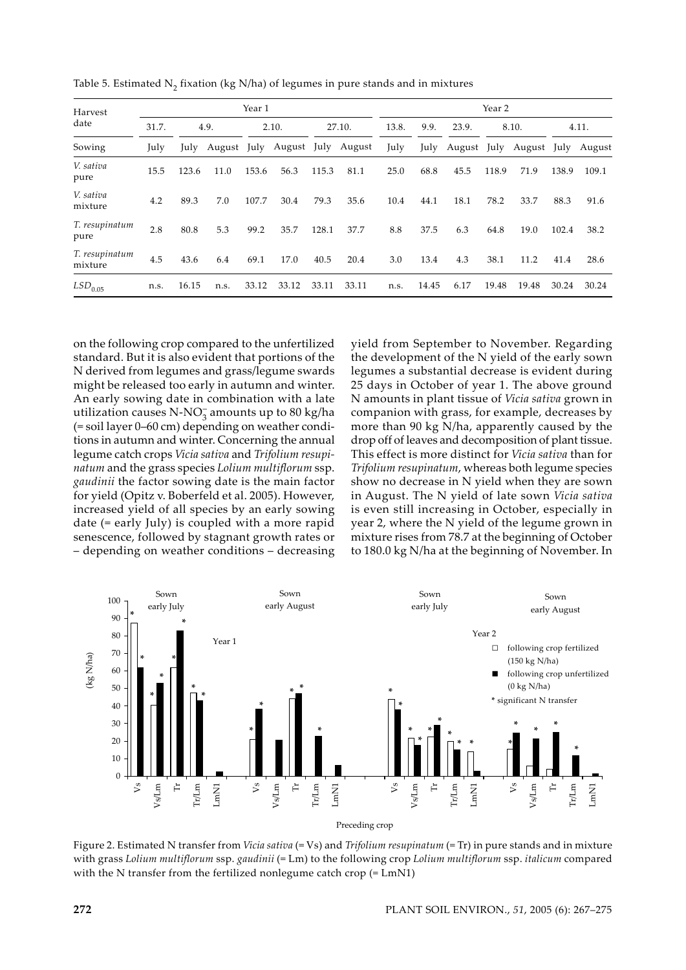| Harvest                   | Year 1 |       |      |       |                         |       |        |      | Year 2 |                              |       |       |       |        |  |
|---------------------------|--------|-------|------|-------|-------------------------|-------|--------|------|--------|------------------------------|-------|-------|-------|--------|--|
| date                      | 31.7.  |       | 4.9. |       | 2.10.                   |       | 27.10. |      | 9.9.   | 23.9.                        | 8.10. |       | 4.11. |        |  |
| Sowing                    | July   | July  |      |       | August July August July |       | August | July |        | July August July August July |       |       |       | August |  |
| V. sativa<br>pure         | 15.5   | 123.6 | 11.0 | 153.6 | 56.3                    | 115.3 | 81.1   | 25.0 | 68.8   | 45.5                         | 118.9 | 71.9  | 138.9 | 109.1  |  |
| V. sativa<br>mixture      | 4.2    | 89.3  | 7.0  | 107.7 | 30.4                    | 79.3  | 35.6   | 10.4 | 44.1   | 18.1                         | 78.2  | 33.7  | 88.3  | 91.6   |  |
| T. resupinatum<br>pure    | 2.8    | 80.8  | 5.3  | 99.2  | 35.7                    | 128.1 | 37.7   | 8.8  | 37.5   | 6.3                          | 64.8  | 19.0  | 102.4 | 38.2   |  |
| T. resupinatum<br>mixture | 4.5    | 43.6  | 6.4  | 69.1  | 17.0                    | 40.5  | 20.4   | 3.0  | 13.4   | 4.3                          | 38.1  | 11.2  | 41.4  | 28.6   |  |
| $LSD$ <sub>0.05</sub>     | n.s.   | 16.15 | n.s. | 33.12 | 33.12                   | 33.11 | 33.11  | n.s. | 14.45  | 6.17                         | 19.48 | 19.48 | 30.24 | 30.24  |  |

Table 5. Estimated  $N_2$  fixation (kg  $N/ha$ ) of legumes in pure stands and in mixtures

on the following crop compared to the unfertilized standard. But it is also evident that portions of the N derived from legumes and grass/legume swards might be released too early in autumn and winter. An early sowing date in combination with a late utilization causes N-NO<sub>3</sub> amounts up to 80 kg/ha (= soil layer 0–60 cm) depending on weather conditions in autumn and winter. Concerning the annual legume catch crops *Vicia sativa* and *Trifolium resupinatum* and the grass species *Lolium multiflorum* ssp. *gaudinii* the factor sowing date is the main factor for yield (Opitz v. Boberfeld et al. 2005). However, increased yield of all species by an early sowing date (= early July) is coupled with a more rapid senescence, followed by stagnant growth rates or – depending on weather conditions – decreasing

yield from September to November. Regarding the development of the N yield of the early sown legumes a substantial decrease is evident during 25 days in October of year 1. The above ground N amounts in plant tissue of *Vicia sativa* grown in companion with grass, for example, decreases by more than 90 kg N/ha, apparently caused by the drop off of leaves and decomposition of plant tissue. This effect is more distinct for *Vicia sativa* than for *Trifolium resupinatum*, whereas both legume species show no decrease in N yield when they are sown in August. The N yield of late sown *Vicia sativa* is even still increasing in October, especially in year 2, where the N yield of the legume grown in mixture rises from 78.7 at the beginning of October to 180.0 kg N/ha at the beginning of November. In



Figure 2. Estimated N transfer from *Vicia sativa* (= Vs) and *Trifolium resupinatum* (= Tr) in pure stands and in mixture with grass *Lolium multiflorum* ssp. *gaudinii* (= Lm) to the following crop *Lolium multiflorum* ssp. *italicum* compared with the N transfer from the fertilized nonlegume catch crop (= LmN1)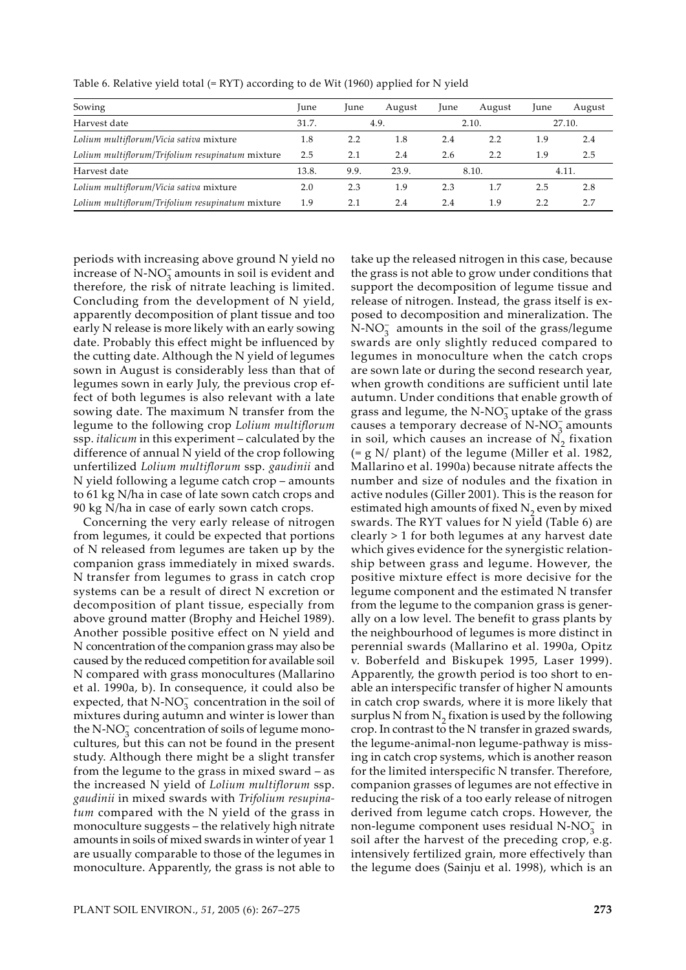| Sowing                                           | June  | June                   | August | June | August | June   | August |
|--------------------------------------------------|-------|------------------------|--------|------|--------|--------|--------|
| Harvest date                                     | 31.7. |                        | 4.9.   |      | 2.10.  | 27.10. |        |
| Lolium multiflorum/Vicia sativa mixture          | 1.8   | 2.2                    | 1.8    | 2.4  | 2.2    | 1.9    | 2.4    |
| Lolium multiflorum/Trifolium resupinatum mixture | 2.5   | 2.1                    | 2.4    | 2.6  | 2.2    | 1.9    | 2.5    |
| Harvest date                                     | 13.8. | 9.9.<br>23.9.<br>8.10. |        |      |        |        | 4.11.  |
| Lolium multiflorum/Vicia sativa mixture          | 2.0   | 2.3                    | 1.9    | 2.3  | 1.7    | 2.5    | 2.8    |
| Lolium multiflorum/Trifolium resupinatum mixture | 1.9   | 2.1                    | 2.4    | 2.4  | 1.9    | 2.2    | 2.7    |

Table 6. Relative yield total (= RYT) according to de Wit (1960) applied for N yield

periods with increasing above ground N yield no increase of  $N-NO_3^-$  amounts in soil is evident and therefore, the risk of nitrate leaching is limited. Concluding from the development of N yield, apparently decomposition of plant tissue and too early N release is more likely with an early sowing date. Probably this effect might be influenced by the cutting date. Although the N yield of legumes sown in August is considerably less than that of legumes sown in early July, the previous crop effect of both legumes is also relevant with a late sowing date. The maximum N transfer from the legume to the following crop *Lolium multiflorum*  ssp. *italicum* in this experiment – calculated by the difference of annual N yield of the crop following unfertilized *Lolium multiflorum* ssp. *gaudinii* and N yield following a legume catch crop – amounts to 61 kg N/ha in case of late sown catch crops and 90 kg N/ha in case of early sown catch crops.

Concerning the very early release of nitrogen from legumes, it could be expected that portions of N released from legumes are taken up by the companion grass immediately in mixed swards. N transfer from legumes to grass in catch crop systems can be a result of direct N excretion or decomposition of plant tissue, especially from above ground matter (Brophy and Heichel 1989). Another possible positive effect on N yield and N concentration of the companion grass may also be caused by the reduced competition for available soil N compared with grass monocultures (Mallarino et al. 1990a, b). In consequence, it could also be expected, that  $N-NO_3^-$  concentration in the soil of mixtures during autumn and winter is lower than the N-NO<sub>3</sub> concentration of soils of legume monocultures, but this can not be found in the present study. Although there might be a slight transfer from the legume to the grass in mixed sward – as the increased N yield of *Lolium multiflorum* ssp. *gaudinii* in mixed swards with *Trifolium resupinatum* compared with the N yield of the grass in monoculture suggests – the relatively high nitrate amounts in soils of mixed swards in winter of year 1 are usually comparable to those of the legumes in monoculture. Apparently, the grass is not able to

take up the released nitrogen in this case, because the grass is not able to grow under conditions that support the decomposition of legume tissue and release of nitrogen. Instead, the grass itself is exposed to decomposition and mineralization. The  $\text{N-NO}_3^-$  amounts in the soil of the grass/legume swards are only slightly reduced compared to legumes in monoculture when the catch crops are sown late or during the second research year, when growth conditions are sufficient until late autumn. Under conditions that enable growth of grass and legume, the N-NO<sub>3</sub> uptake of the grass causes a temporary decrease of  $N-NO_3^-$  amounts in soil, which causes an increase of  $N<sub>2</sub>$  fixation (= g N/ plant) of the legume (Miller et al. 1982, Mallarino et al. 1990a) because nitrate affects the number and size of nodules and the fixation in active nodules (Giller 2001). This is the reason for estimated high amounts of fixed  $N<sub>2</sub>$  even by mixed swards. The RYT values for N yield (Table 6) are clearly > 1 for both legumes at any harvest date which gives evidence for the synergistic relationship between grass and legume. However, the positive mixture effect is more decisive for the legume component and the estimated N transfer from the legume to the companion grass is generally on a low level. The benefit to grass plants by the neighbourhood of legumes is more distinct in perennial swards (Mallarino et al. 1990a, Opitz v. Boberfeld and Biskupek 1995, Laser 1999). Apparently, the growth period is too short to enable an interspecific transfer of higher N amounts in catch crop swards, where it is more likely that surplus N from  $N_2$  fixation is used by the following crop. In contrast to the N transfer in grazed swards, the legume-animal-non legume-pathway is missing in catch crop systems, which is another reason for the limited interspecific N transfer. Therefore, companion grasses of legumes are not effective in reducing the risk of a too early release of nitrogen derived from legume catch crops. However, the non-legume component uses residual N-NO<sub>3</sub> in soil after the harvest of the preceding crop, e.g. intensively fertilized grain, more effectively than the legume does (Sainju et al. 1998), which is an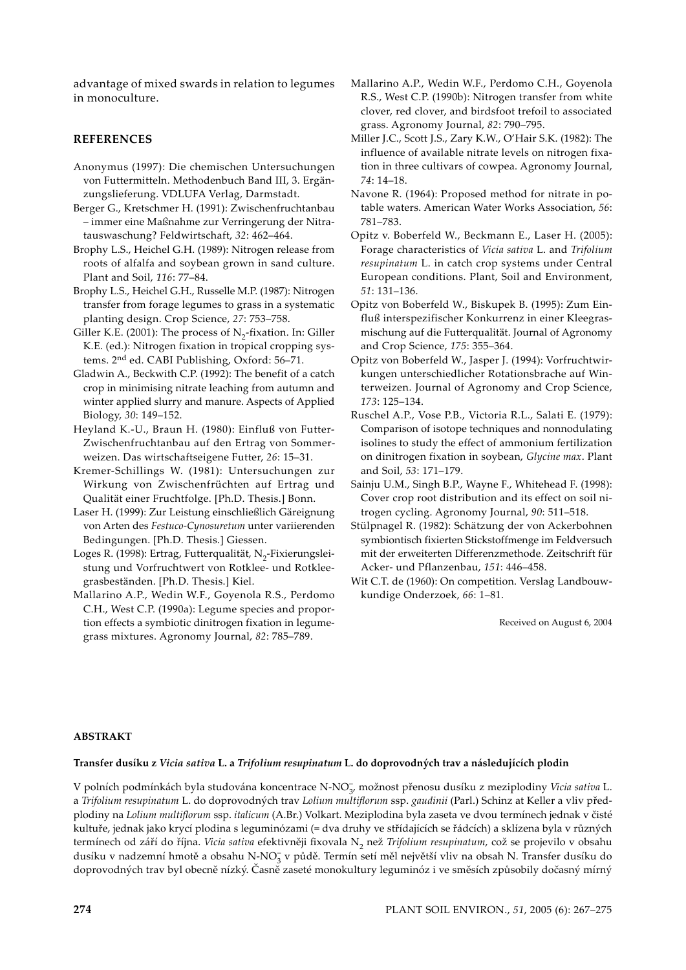advantage of mixed swards in relation to legumes in monoculture.

# **REFERENCES**

- Anonymus (1997): Die chemischen Untersuchungen von Futtermitteln. Methodenbuch Band III, 3. Ergänzungslieferung. VDLUFA Verlag, Darmstadt.
- Berger G., Kretschmer H. (1991): Zwischenfruchtanbau – immer eine Maßnahme zur Verringerung der Nitratauswaschung? Feldwirtschaft, *32*: 462–464.
- Brophy L.S., Heichel G.H. (1989): Nitrogen release from roots of alfalfa and soybean grown in sand culture. Plant and Soil, *116*: 77–84.
- Brophy L.S., Heichel G.H., Russelle M.P. (1987): Nitrogen transfer from forage legumes to grass in a systematic planting design. Crop Science, *27*: 753–758.
- Giller K.E. (2001): The process of  $N<sub>2</sub>$ -fixation. In: Giller K.E. (ed.): Nitrogen fixation in tropical cropping systems. 2nd ed. CABI Publishing, Oxford: 56–71.
- Gladwin A., Beckwith C.P. (1992): The benefit of a catch crop in minimising nitrate leaching from autumn and winter applied slurry and manure. Aspects of Applied Biology, *30*: 149–152.
- Heyland K.-U., Braun H. (1980): Einfluß von Futter-Zwischenfruchtanbau auf den Ertrag von Sommerweizen. Das wirtschaftseigene Futter, *26*: 15–31.
- Kremer-Schillings W. (1981): Untersuchungen zur Wirkung von Zwischenfrüchten auf Ertrag und Qualität einer Fruchtfolge. [Ph.D. Thesis.] Bonn.
- Laser H. (1999): Zur Leistung einschließlich Gäreignung von Arten des *Festuco-Cynosuretum* unter variierenden Bedingungen. [Ph.D. Thesis.] Giessen.
- Loges R. (1998): Ertrag, Futterqualität, N<sub>2</sub>-Fixierungsleistung und Vorfruchtwert von Rotklee- und Rotkleegrasbeständen. [Ph.D. Thesis.] Kiel.
- Mallarino A.P., Wedin W.F., Goyenola R.S., Perdomo C.H., West C.P. (1990a): Legume species and proportion effects a symbiotic dinitrogen fixation in legumegrass mixtures. Agronomy Journal, *82*: 785–789.
- Mallarino A.P., Wedin W.F., Perdomo C.H., Goyenola R.S., West C.P. (1990b): Nitrogen transfer from white clover, red clover, and birdsfoot trefoil to associated grass. Agronomy Journal, *82*: 790–795.
- Miller J.C., Scott J.S., Zary K.W., O'Hair S.K. (1982): The influence of available nitrate levels on nitrogen fixation in three cultivars of cowpea. Agronomy Journal, *74*: 14–18.
- Navone R. (1964): Proposed method for nitrate in potable waters. American Water Works Association, *56*: 781–783.
- Opitz v. Boberfeld W., Beckmann E., Laser H. (2005): Forage characteristics of *Vicia sativa* L. and *Trifolium resupinatum* L. in catch crop systems under Central European conditions. Plant, Soil and Environment, *51*: 131–136.
- Opitz von Boberfeld W., Biskupek B. (1995): Zum Einfluß interspezifischer Konkurrenz in einer Kleegrasmischung auf die Futterqualität. Journal of Agronomy and Crop Science, *175*: 355–364.
- Opitz von Boberfeld W., Jasper J. (1994): Vorfruchtwirkungen unterschiedlicher Rotationsbrache auf Winterweizen. Journal of Agronomy and Crop Science, *173*: 125–134.
- Ruschel A.P., Vose P.B., Victoria R.L., Salati E. (1979): Comparison of isotope techniques and nonnodulating isolines to study the effect of ammonium fertilization on dinitrogen fixation in soybean, *Glycine max*. Plant and Soil, *53*: 171–179.
- Sainju U.M., Singh B.P., Wayne F., Whitehead F. (1998): Cover crop root distribution and its effect on soil nitrogen cycling. Agronomy Journal, *90*: 511–518.
- Stülpnagel R. (1982): Schätzung der von Ackerbohnen symbiontisch fixierten Stickstoffmenge im Feldversuch mit der erweiterten Differenzmethode. Zeitschrift für Acker- und Pflanzenbau, *151*: 446–458.
- Wit C.T. de (1960): On competition. Verslag Landbouwkundige Onderzoek, *66*: 1–81.

Received on August 6, 2004

## **ABSTRAKT**

## **Transfer dusíku z** *Vicia sativa* **L. a** *Trifolium resupinatum* **L. do doprovodných trav a následujících plodin**

V polních podmínkách byla studována koncentrace N-NO<sub>3</sub>, možnost přenosu dusíku z meziplodiny *Vicia sativa* L. a *Trifolium resupinatum* L. do doprovodných trav *Lolium multiflorum* ssp. *gaudinii* (Parl.) Schinz at Keller a vliv předplodiny na *Lolium multiflorum* ssp. *italicum* (A.Br.) Volkart. Meziplodina byla zaseta ve dvou termínech jednak v čisté kultuře, jednak jako krycí plodina s leguminózami (= dva druhy ve střídajících se řádcích) a sklízena byla v různých termínech od září do října. *Vicia sativa* efektivněji fixovala N2 než *Trifolium resupinatum*, což se projevilo v obsahu dusíku v nadzemní hmotě a obsahu N-NO<sub>3</sub> v půdě. Termín setí měl největší vliv na obsah N. Transfer dusíku do doprovodných trav byl obecně nízký. Časně zaseté monokultury leguminóz i ve směsích způsobily dočasný mírný